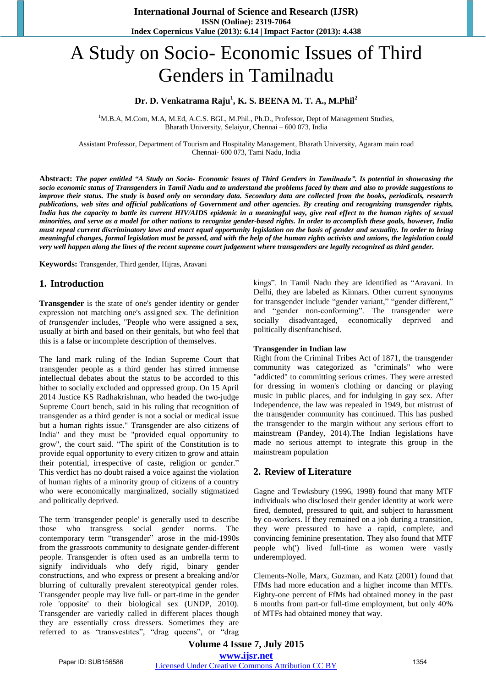# A Study on Socio- Economic Issues of Third Genders in Tamilnadu

## **Dr. D. Venkatrama Raju<sup>1</sup> , K. S. BEENA M. T. A., M.Phil<sup>2</sup>**

<sup>1</sup>M.B.A, M.Com, M.A, M.Ed, A.C.S. BGL, M.Phil., Ph.D., Professor, Dept of Management Studies, Bharath University, Selaiyur, Chennai – 600 073, India

Assistant Professor, Department of Tourism and Hospitality Management, Bharath University, Agaram main road Chennai- 600 073, Tami Nadu, India

**Abstract:** *The paper entitled "A Study on Socio- Economic Issues of Third Genders in Tamilnadu". Is potential in showcasing the socio economic status of Transgenders in Tamil Nadu and to understand the problems faced by them and also to provide suggestions to improve their status. The study is based only on secondary data. Secondary data are collected from the books, periodicals, research publications, web sites and official publications of Government and other agencies. By creating and recognizing transgender rights, India has the capacity to battle its current HIV/AIDS epidemic in a meaningful way, give real effect to the human rights of sexual minorities, and serve as a model for other nations to recognize gender-based rights. In order to accomplish these goals, however, India must repeal current discriminatory laws and enact equal opportunity legislation on the basis of gender and sexuality. In order to bring meaningful changes, formal legislation must be passed, and with the help of the human rights activists and unions, the legislation could very well happen along the lines of the recent supreme court judgement where transgenders are legally recognized as third gender.* 

**Keywords:** Transgender, Third gender, Hijras, Aravani

### **1. Introduction**

**Transgender** is the state of one's gender identity or gender expression not matching one's assigned sex. The definition of *transgender* includes, "People who were assigned a sex, usually at birth and based on their genitals, but who feel that this is a false or incomplete description of themselves.

The land mark ruling of the Indian Supreme Court that transgender people as a third gender has stirred immense intellectual debates about the status to be accorded to this hither to socially excluded and oppressed group. On 15 April 2014 Justice KS Radhakrishnan, who headed the two-judge Supreme Court bench, said in his ruling that recognition of transgender as a third gender is not a social or medical issue but a human rights issue." Transgender are also citizens of India" and they must be "provided equal opportunity to grow", the court said. "The spirit of the Constitution is to provide equal opportunity to every citizen to grow and attain their potential, irrespective of caste, religion or gender." This verdict has no doubt raised a voice against the violation of human rights of a minority group of citizens of a country who were economically marginalized, socially stigmatized and politically deprived.

The term 'transgender people' is generally used to describe those who transgress social gender norms. The contemporary term "transgender" arose in the mid-1990s from the grassroots community to designate gender-different people. Transgender is often used as an umbrella term to signify individuals who defy rigid, binary gender constructions, and who express or present a breaking and/or blurring of culturally prevalent stereotypical gender roles. Transgender people may live full- or part-time in the gender role 'opposite' to their biological sex (UNDP, 2010). Transgender are variedly called in different places though they are essentially cross dressers. Sometimes they are referred to as "transvestites", "drag queens", or "drag kings". In Tamil Nadu they are identified as "Aravani. In Delhi, they are labeled as Kinnars. Other current synonyms for transgender include "gender variant," "gender different," and "gender non-conforming". The transgender were socially disadvantaged, economically deprived and politically disenfranchised.

#### **Transgender in Indian law**

Right from the Criminal Tribes Act of 1871, the transgender community was categorized as "criminals" who were "addicted" to committing serious crimes. They were arrested for dressing in women's clothing or dancing or playing music in public places, and for indulging in gay sex. After Independence, the law was repealed in 1949, but mistrust of the transgender community has continued. This has pushed the transgender to the margin without any serious effort to mainstream (Pandey, 2014).The Indian legislations have made no serious attempt to integrate this group in the mainstream population

### **2. Review of Literature**

Gagne and Tewksbury (1996, 1998) found that many MTF individuals who disclosed their gender identity at work were fired, demoted, pressured to quit, and subject to harassment by co-workers. If they remained on a job during a transition, they were pressured to have a rapid, complete, and convincing feminine presentation. They also found that MTF people wh(') lived full-time as women were vastly underemployed.

Clements-Nolle, Marx, Guzman, and Katz (2001) found that FfMs had more education and a higher income than MTFs. Eighty-one percent of FfMs had obtained money in the past 6 months from part-or full-time employment, but only 40% of MTFs had obtained money that way.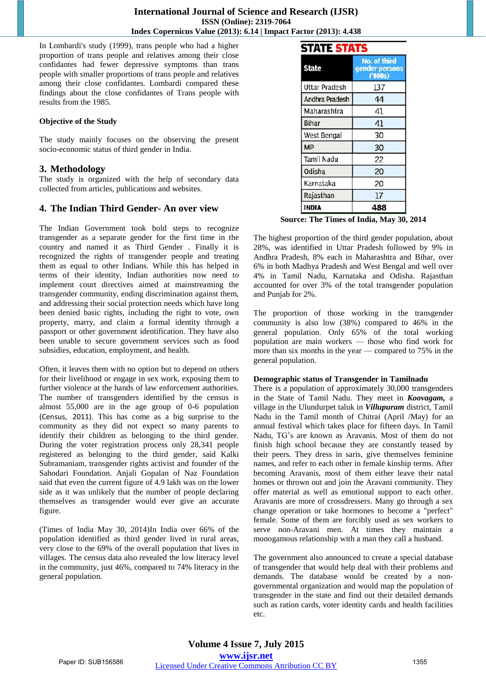In Lombardi's study (1999), trans people who had a higher proportion of trans people and relatives among their close confidantes had fewer depressive symptoms than trans people with smaller proportions of trans people and relatives among their close confidantes. Lombardi compared these findings about the close confidantes of Trans people with results from the 1985.

### **Objective of the Study**

The study mainly focuses on the observing the present socio-economic status of third gender in India.

## **3. Methodology**

The study is organized with the help of secondary data collected from articles, publications and websites.

# **4. The Indian Third Gender- An over view**

The Indian Government took bold steps to recognize transgender as a separate gender for the first time in the country and named it as Third Gender . Finally it is recognized the rights of transgender people and treating them as equal to other Indians. While this has helped in terms of their identity, Indian authorities now need to implement court directives aimed at mainstreaming the transgender community, ending discrimination against them, and addressing their social protection needs which have long been denied basic rights, including the right to vote, own property, marry, and claim a formal identity through a passport or other government identification. They have also been unable to secure government services such as food subsidies, education, employment, and health.

Often, it leaves them with no option but to depend on others for their livelihood or engage in sex work, exposing them to further violence at the hands of law enforcement authorities. The number of transgenders identified by the census is almost 55,000 are in the age group of 0-6 population (Census, 2011). This has come as a big surprise to the community as they did not expect so many parents to identify their children as belonging to the third gender. During the voter registration process only 28,341 people registered as belonging to the third gender, said Kalki Subramaniam, transgender rights activist and founder of the Sahodari Foundation. Anjali Gopalan of Naz Foundation said that even the current figure of 4.9 lakh was on the lower side as it was unlikely that the number of people declaring themselves as transgender would ever give an accurate figure.

(Times of India May 30, 2014)In India over 66% of the population identified as third gender lived in rural areas, very close to the 69% of the overall population that lives in villages. The census data also revealed the low literacy level in the community, just 46%, compared to 74% literacy in the general population.

# **STATE STATS**

| <b>State</b>          | No. of third<br>gender persons<br>(200s) |
|-----------------------|------------------------------------------|
| <b>Uttar Pradesh</b>  | 137                                      |
| <b>Andhra Pradesh</b> | 44                                       |
| Maharashtra           | 41                                       |
| Bihar                 | 41                                       |
| West Bengal           | 30                                       |
| MP                    | 30                                       |
| Tamil Nadu            | 22                                       |
| Odisha                | 20                                       |
| Karnataka             | 20                                       |
| Rajasthan             | 17                                       |
| <b>INDIA</b>          | 488                                      |

**Source: The Times of India, May 30, 2014**

The highest proportion of the third gender population, about 28%, was identified in Uttar Pradesh followed by 9% in Andhra Pradesh, 8% each in Maharashtra and Bihar, over 6% in both Madhya Pradesh and West Bengal and well over 4% in Tamil Nadu, Karnataka and Odisha. Rajasthan accounted for over 3% of the total transgender population and Punjab for 2%.

The proportion of those working in the transgender community is also low (38%) compared to 46% in the general population. Only 65% of the total working population are main workers — those who find work for more than six months in the year — compared to 75% in the general population.

### **Demographic status of Transgender in Tamilnadu**

There is a population of approximately 30,000 transgenders in the State of Tamil Nadu. They meet in *Koovagam,* a village in the Ulundurpet taluk in *Villupuram* district, Tamil Nadu in the Tamil month of Chitrai (April /May) for an annual festival which takes place for fifteen days. In Tamil Nadu, TG's are known as Aravanis. Most of them do not finish high school because they are constantly teased by their peers. They dress in saris, give themselves feminine names, and refer to each other in female kinship terms. After becoming Aravanis, most of them either leave their natal homes or thrown out and join the Aravani community. They offer material as well as emotional support to each other. Aravanis are more of crossdressers. Many go through a sex change operation or take hormones to become a "perfect" female. Some of them are forcibly used as sex workers to serve non-Aravani men. At times they maintain a monogamous relationship with a man they call a husband.

The government also announced to create a special database of transgender that would help deal with their problems and demands. The database would be created by a nongovernmental organization and would map the population of transgender in the state and find out their detailed demands such as ration cards, voter identity cards and health facilities etc.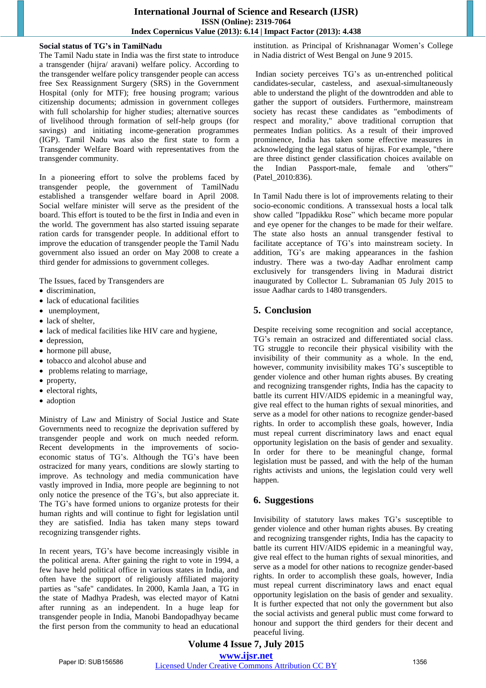### **International Journal of Science and Research (IJSR) ISSN (Online): 2319-7064 Index Copernicus Value (2013): 6.14 | Impact Factor (2013): 4.438**

### **Social status of TG's in TamilNadu**

The Tamil Nadu state in India was the first state to introduce a transgender (hijra/ aravani) welfare policy. According to the transgender welfare policy transgender people can access free Sex Reassignment Surgery (SRS) in the Government Hospital (only for MTF); free housing program; various citizenship documents; admission in government colleges with full scholarship for higher studies; alternative sources of livelihood through formation of self-help groups (for savings) and initiating income-generation programmes (IGP). Tamil Nadu was also the first state to form a Transgender Welfare Board with representatives from the transgender community.

In a pioneering effort to solve the problems faced by transgender people, the government of TamilNadu established a transgender welfare board in April 2008. Social welfare minister will serve as the president of the board. This effort is touted to be the first in India and even in the world. The government has also started issuing separate ration cards for transgender people. In additional effort to improve the education of transgender people the Tamil Nadu government also issued an order on May 2008 to create a third gender for admissions to government colleges.

The Issues, faced by Transgenders are

- discrimination,
- lack of educational facilities
- unemployment,
- lack of shelter,
- lack of medical facilities like HIV care and hygiene,
- depression.
- hormone pill abuse,
- tobacco and alcohol abuse and
- problems relating to marriage,
- property,
- electoral rights,
- adoption

Ministry of Law and Ministry of Social Justice and State Governments need to recognize the deprivation suffered by transgender people and work on much needed reform. Recent developments in the improvements of socioeconomic status of TG's. Although the TG's have been ostracized for many years, conditions are slowly starting to improve. As technology and media communication have vastly improved in India, more people are beginning to not only notice the presence of the TG's, but also appreciate it. The TG's have formed unions to organize protests for their human rights and will continue to fight for legislation until they are satisfied. India has taken many steps toward recognizing transgender rights.

In recent years, TG's have become increasingly visible in the political arena. After gaining the right to vote in 1994, a few have held political office in various states in India, and often have the support of religiously affiliated majority parties as "safe" candidates. In 2000, Kamla Jaan, a TG in the state of Madhya Pradesh, was elected mayor of Katni after running as an independent. In a huge leap for transgender people in India, Manobi Bandopadhyay became the first person from the community to head an educational institution. as Principal of Krishnanagar Women's College in Nadia district of West Bengal on June 9 2015.

 Indian society perceives TG's as un-entrenched political candidates-secular, casteless, and asexual-simultaneously able to understand the plight of the downtrodden and able to gather the support of outsiders. Furthermore, mainstream society has recast these candidates as "embodiments of respect and morality," above traditional corruption that permeates Indian politics. As a result of their improved prominence, India has taken some effective measures in acknowledging the legal status of hijras. For example, "there are three distinct gender classification choices available on the Indian Passport-male, female and 'others'" (Patel\_2010:836).

In Tamil Nadu there is lot of improvements relating to their socio-economic conditions. A transsexual hosts a local talk show called "Ippadikku Rose" which became more popular and eye opener for the changes to be made for their welfare. The state also hosts an annual transgender festival to facilitate acceptance of TG's into mainstream society. In addition, TG's are making appearances in the fashion industry. There was a two-day Aadhar enrolment camp exclusively for transgenders living in Madurai district inaugurated by Collector L. Subramanian 05 July 2015 to issue Aadhar cards to 1480 transgenders.

# **5. Conclusion**

Despite receiving some recognition and social acceptance, TG's remain an ostracized and differentiated social class. TG struggle to reconcile their physical visibility with the invisibility of their community as a whole. In the end, however, community invisibility makes TG's susceptible to gender violence and other human rights abuses. By creating and recognizing transgender rights, India has the capacity to battle its current HIV/AIDS epidemic in a meaningful way, give real effect to the human rights of sexual minorities, and serve as a model for other nations to recognize gender-based rights. In order to accomplish these goals, however, India must repeal current discriminatory laws and enact equal opportunity legislation on the basis of gender and sexuality. In order for there to be meaningful change, formal legislation must be passed, and with the help of the human rights activists and unions, the legislation could very well happen.

# **6. Suggestions**

Invisibility of statutory laws makes TG's susceptible to gender violence and other human rights abuses. By creating and recognizing transgender rights, India has the capacity to battle its current HIV/AIDS epidemic in a meaningful way, give real effect to the human rights of sexual minorities, and serve as a model for other nations to recognize gender-based rights. In order to accomplish these goals, however, India must repeal current discriminatory laws and enact equal opportunity legislation on the basis of gender and sexuality. It is further expected that not only the government but also the social activists and general public must come forward to honour and support the third genders for their decent and peaceful living.